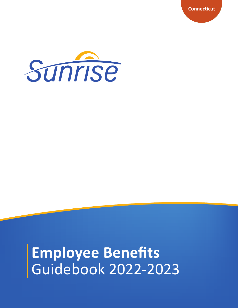**Connecticut** 



Employee Benefits<br>Guidebook 2022-2023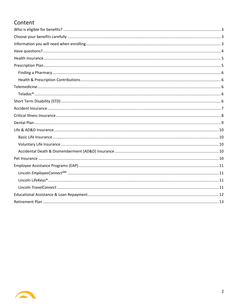## Content

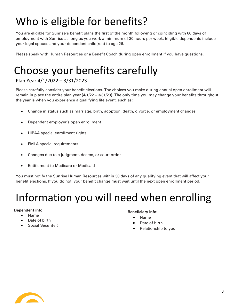# <span id="page-2-0"></span>Who is eligible for benefits?

You are eligible for Sunrise's benefit plans the first of the month following or coinciding with 60 days of employment with Sunrise as long as you work a minimum of 30 hours per week. Eligible dependents include your legal spouse and your dependent child(ren) to age 26.

Please speak with Human Resources or a Benefit Coach during open enrollment if you have questions.

# <span id="page-2-1"></span>Choose your benefits carefully

## Plan Year 4/1/2022 – 3/31/2023

Please carefully consider your benefit elections. The choices you make during annual open enrollment will remain in place the entire plan year (4/1/22 – 3/31/23). The only time you may change your benefits throughout the year is when you experience a qualifying life event, such as:

- Change in status such as marriage, birth, adoption, death, divorce, or employment changes
- Dependent employer's open enrollment
- HIPAA special enrollment rights
- FMLA special requirements
- Changes due to a judgment, decree, or court order
- Entitlement to Medicare or Medicaid

You must notify the Sunrise Human Resources within 30 days of any qualifying event that will affect your benefit elections. If you do not, your benefit change must wait until the next open enrollment period.

## <span id="page-2-2"></span>Information you will need when enrolling

#### **Dependent info:**

- Name
- Date of birth
- Social Security #

#### **Beneficiary info:**

- Name
- Date of birth
- Relationship to you

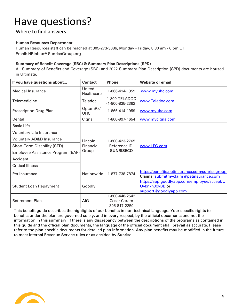# <span id="page-3-0"></span>Have questions?

### Where to find answers

#### **Human Resources Department**

Human Resources staff can be reached at 305-273-3086, Monday - Friday, 8:30 am - 6 pm ET. Email: HRInbox@SunriseGroup.org

#### **Summary of Benefit Coverage (SBC) & Summary Plan Descriptions (SPD)**

All Summary of Benefits and Coverage (SBC) and 2022 Summary Plan Description (SPD) documents are housed in Ultimate.

| If you have questions about         | <b>Contact</b>         | <b>Phone</b>                                         | Website or email                                                                         |  |
|-------------------------------------|------------------------|------------------------------------------------------|------------------------------------------------------------------------------------------|--|
| <b>Medical Insurance</b>            | United<br>Healthcare   | 1-866-414-1959                                       | www.myuhc.com                                                                            |  |
| Telemedicine                        | Teladoc                | 1-800-TELADOC<br>$(1 - 800 - 835 - 2362)$            | www.Teladoc.com                                                                          |  |
| <b>Prescription Drug Plan</b>       | OptumRx/<br><b>UHC</b> | 1-866-414-1959                                       | www.myuhc.com                                                                            |  |
| Dental                              | Cigna                  | 1-800-997-1654                                       | www.mycigna.com                                                                          |  |
| <b>Basic Life</b>                   |                        |                                                      |                                                                                          |  |
| Voluntary Life Insurance            |                        | 1-800-423-2765                                       |                                                                                          |  |
| <b>Voluntary AD&amp;D Insurance</b> | Lincoln                |                                                      | www.LFG.com                                                                              |  |
| Short-Term Disability (STD)         | Financial              | Reference ID:                                        |                                                                                          |  |
| Employee Assistance Program (EAP)   | Group                  | <b>SUNRISECO</b>                                     |                                                                                          |  |
| Accident                            |                        |                                                      |                                                                                          |  |
| <b>Critical Illness</b>             |                        |                                                      |                                                                                          |  |
| Pet Insurance                       | Nationwide             | 1-877-738-7874                                       | https://benefits.petinsurance.com/sunrisegroup<br>Claims: submitmyclaim@petinsurance.com |  |
| <b>Student Loan Repayment</b>       | Goodly                 |                                                      | https://app.goodlyapp.com/employee/accept/U<br>UvknkhJxvBB or<br>support@goodlyapp.com   |  |
| <b>Retirement Plan</b>              | AIG                    | 1-800-448-2542<br><b>Cesar Caram</b><br>305-817-2250 |                                                                                          |  |

This benefit guide describes the highlights of our benefits in non-technical language. Your specific rights to benefits under the plan are governed solely, and in every respect, by the official documents and not the information in this summary. If there is any discrepancy between the descriptions of the programs as contained in this guide and the official plan documents, the language of the official document shall prevail as accurate. Please refer to the plan-specific documents for detailed plan information. Any plan benefits may be modified in the future to meet Internal Revenue Service rules or as decided by Sunrise.

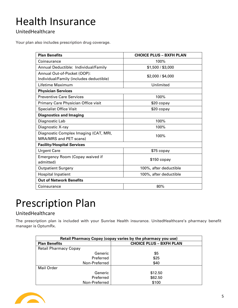# <span id="page-4-0"></span>Health Insurance

## UnitedHealthcare

Your plan also includes prescription drug coverage.

| <b>Plan Benefits</b>                    | <b>CHOICE PLUS - BXFH PLAN</b> |  |  |  |  |
|-----------------------------------------|--------------------------------|--|--|--|--|
| Coinsurance                             | 100%                           |  |  |  |  |
| Annual Deductible: Individual/Family    | \$1,500 / \$3,000              |  |  |  |  |
| Annual Out-of-Pocket (OOP):             | \$2,000 / \$4,000              |  |  |  |  |
| Individual/Family (includes deductible) |                                |  |  |  |  |
| Lifetime Maximum                        | Unlimited                      |  |  |  |  |
| <b>Physician Services</b>               |                                |  |  |  |  |
| <b>Preventive Care Services</b>         | 100%                           |  |  |  |  |
| Primary Care Physician Office visit     | \$20 copay                     |  |  |  |  |
| <b>Specialist Office Visit</b>          | \$20 copay                     |  |  |  |  |
| <b>Diagnostics and Imaging</b>          |                                |  |  |  |  |
| Diagnostic Lab                          | 100%                           |  |  |  |  |
| Diagnostic X-ray                        | 100%                           |  |  |  |  |
| Diagnostic Complex Imaging (CAT, MRI,   | 100%                           |  |  |  |  |
| MRA/MRS and PET scans)                  |                                |  |  |  |  |
| <b>Facility/Hospital Services</b>       |                                |  |  |  |  |
| <b>Urgent Care</b>                      | \$75 copay                     |  |  |  |  |
| Emergency Room (Copay waived if         | $$150$ copay                   |  |  |  |  |
| admitted)                               |                                |  |  |  |  |
| <b>Outpatient Surgery</b>               | 100%, after deductible         |  |  |  |  |
| <b>Hospital Inpatient</b>               | 100%, after deductible         |  |  |  |  |
| <b>Out of Network Benefits</b>          |                                |  |  |  |  |
| Coinsurance                             | 80%                            |  |  |  |  |

## <span id="page-4-1"></span>Prescription Plan

### UnitedHealthcare

The prescription plan is included with your Sunrise Health insurance. UnitedHealthcare's pharmacy benefit manager is OptumRx.

| Retail Pharmacy Copay (copay varies by the pharmacy you use) |                                |  |  |
|--------------------------------------------------------------|--------------------------------|--|--|
| <b>Plan Benefits</b>                                         | <b>CHOICE PLUS - BXFH PLAN</b> |  |  |
| <b>Retail Pharmacy Copay</b>                                 |                                |  |  |
| Generic                                                      | \$5                            |  |  |
| Preferred                                                    | \$25                           |  |  |
| Non-Preferred                                                | \$40                           |  |  |
| Mail Order                                                   |                                |  |  |
| Generic                                                      | \$12.50                        |  |  |
| Preferred                                                    | \$62.50                        |  |  |
| Non-Preferred                                                | \$100                          |  |  |

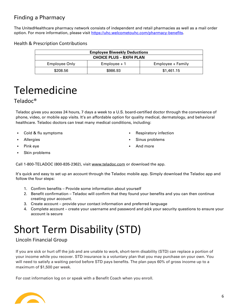## <span id="page-5-0"></span>Finding a Pharmacy

The UnitedHealthcare pharmacy network consists of independent and retail pharmacies as well as a mail order option. For more information, please visit [https://uhc.welcometouhc.com/pharmacy-benefits.](https://uhc.welcometouhc.com/pharmacy-benefits)

### <span id="page-5-1"></span>Health & Prescription Contributions

| <b>Employee Biweekly Deductions</b> |          |                   |  |
|-------------------------------------|----------|-------------------|--|
| <b>CHOICE PLUS – BXFH PLAN</b>      |          |                   |  |
| Employee Only<br>$Emplovee + 1$     |          | Employee + Family |  |
| \$208.56                            | \$986.93 | \$1,461.15        |  |

## <span id="page-5-2"></span>Telemedicine

### <span id="page-5-3"></span>Teladoc®

Teladoc gives you access 24 hours, 7 days a week to a U.S. board-certified doctor through the convenience of phone, video, or mobile app visits. It's an affordable option for quality medical, dermatology, and behavioral healthcare. Teladoc doctors can treat many medical conditions, including:

- Cold & flu symptoms
- **Allergies**
- Pink eye
- Skin problems

Call 1-800-TELADOC (800-835-2362), visit [www.teladoc.com](http://www.teladoc.com/) or download the app.

It's quick and easy to set up an account through the Teladoc mobile app. Simply download the Teladoc app and follow the four steps:

- 1. Confirm benefits Provide some information about yourself
- 2. Benefit confirmation Teladoc will confirm that they found your benefits and you can then continue creating your account.
- 3. Create account provide your contact information and preferred language
- 4. Complete account create your username and password and pick your security questions to ensure your account is secure

# <span id="page-5-4"></span>Short Term Disability (STD)

### Lincoln Financial Group

If you are sick or hurt off the job and are unable to work, short-term disability (STD) can replace a portion of your income while you recover. STD insurance is a voluntary plan that you may purchase on your own. You will need to satisfy a waiting period before STD pays benefits. The plan pays 60% of gross income up to a maximum of \$1,500 per week.

For cost information log on or speak with a Benefit Coach when you enroll.



- Respiratory infection
- Sinus problems
- And more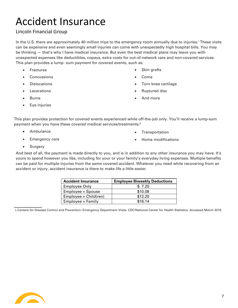# <span id="page-6-0"></span>Accident Insurance

### Lincoln Financial Group

In the U.S. there are approximately 40 million trips to the emergency room annually due to injuries.<sup>1</sup> These visits can be expensive and even seemingly small injuries can come with unexpectedly high hospital bills. You may be thinking — that's why I have medical insurance. But even the best medical plans may leave you with unexpected expenses like deductibles, copays, extra costs for out-of-network care and non-covered services. This plan provides a lump- sum payment for covered events, such as:

- Fractures
- Concussions
- Dislocations
- Lacerations
- Burns
- Eye injuries
- Skin grafts
- Coma
- Torn knee cartilage
- Ruptured disc
- And more

This plan provides protection for covered events experienced while off-the-job only. You'll receive a lump-sum payment when you have these covered medical services/treatments:<sup>3</sup>

• Ambulance

**Transportation** 

• Emergency care

• Home modifications

• Surgery

And best of all, the payment is made directly to you, and is in addition to any other insurance you may have. It's yours to spend however you like, including for your or your family's everyday living expenses. Multiple benefits can be paid for multiple injuries from the same covered accident. Whatever you need while recovering from an accident or injury, accident insurance is there to make life a little easier.

| <b>Accident Insurance</b> | <b>Employee Biweekly Deductions</b> |
|---------------------------|-------------------------------------|
| <b>Employee Only</b>      | \$7.20                              |
| Employee + Spouse         | \$10.08                             |
| Employee + Child(ren)     | \$12.20                             |
| Employee + Family         | \$16.14                             |

<span id="page-6-1"></span>1.Centers for Disease Control and Prevention: Emergency Department Visits. CDC/National Center for Health Statistics. Accessed March 2018.

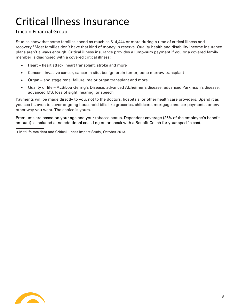# Critical Illness Insurance

### Lincoln Financial Group

Studies show that some families spend as much as \$14,444 or more during a time of critical illness and recovery.<sup>1</sup> Most families don't have that kind of money in reserve. Quality health and disability income insurance plans aren't always enough. Critical illness insurance provides a lump-sum payment if you or a covered family member is diagnosed with a covered critical illness:

- Heart heart attack, heart transplant, stroke and more
- Cancer invasive cancer, cancer in situ, benign brain tumor, bone marrow transplant
- Organ end stage renal failure, major organ transplant and more
- Quality of life ALS/Lou Gehrig's Disease, advanced Alzheimer's disease, advanced Parkinson's disease, advanced MS, loss of sight, hearing, or speech

Payments will be made directly to you, not to the doctors, hospitals, or other health care providers. Spend it as you see fit, even to cover ongoing household bills like groceries, childcare, mortgage and car payments, or any other way you want. The choice is yours.

Premiums are based on your age and your tobacco status. Dependent coverage (25% of the employee's benefit amount) is included at no additional cost. Log on or speak with a Benefit Coach for your specific cost.

1.MetLife Accident and Critical Illness Impact Study, October 2013.

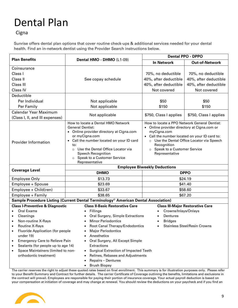# <span id="page-8-0"></span>Dental Plan

**Cigna** 

Sunrise offers dental plan options that cover routine check-ups & additional services needed for your dental health. Find an in-network dentist using the Provider Search instructions below.

|                                                                                                                                                                                                                                                                                                                                               |                                                                                                                                                                                                                                                                                                                                                                       | <b>Dental PPO - DPPO</b>                                                                                                                                                                                                                                                             |                                         |  |
|-----------------------------------------------------------------------------------------------------------------------------------------------------------------------------------------------------------------------------------------------------------------------------------------------------------------------------------------------|-----------------------------------------------------------------------------------------------------------------------------------------------------------------------------------------------------------------------------------------------------------------------------------------------------------------------------------------------------------------------|--------------------------------------------------------------------------------------------------------------------------------------------------------------------------------------------------------------------------------------------------------------------------------------|-----------------------------------------|--|
| <b>Plan Benefits</b>                                                                                                                                                                                                                                                                                                                          | Dental HMO - DHMO (L1-09)                                                                                                                                                                                                                                                                                                                                             | <b>In Network</b>                                                                                                                                                                                                                                                                    | <b>Out-of-Network</b>                   |  |
| Coinsurance                                                                                                                                                                                                                                                                                                                                   |                                                                                                                                                                                                                                                                                                                                                                       |                                                                                                                                                                                                                                                                                      |                                         |  |
| Class I                                                                                                                                                                                                                                                                                                                                       |                                                                                                                                                                                                                                                                                                                                                                       | 70%, no deductible                                                                                                                                                                                                                                                                   | 70%, no deductible                      |  |
| Class II                                                                                                                                                                                                                                                                                                                                      | See copay schedule                                                                                                                                                                                                                                                                                                                                                    | 40%, after deductible                                                                                                                                                                                                                                                                | 40%, after deductible                   |  |
| Class III                                                                                                                                                                                                                                                                                                                                     |                                                                                                                                                                                                                                                                                                                                                                       | 40%, after deductible                                                                                                                                                                                                                                                                | 40%, after deductible                   |  |
| Class IV                                                                                                                                                                                                                                                                                                                                      |                                                                                                                                                                                                                                                                                                                                                                       | Not covered                                                                                                                                                                                                                                                                          | Not covered                             |  |
| Deductible                                                                                                                                                                                                                                                                                                                                    |                                                                                                                                                                                                                                                                                                                                                                       |                                                                                                                                                                                                                                                                                      |                                         |  |
| Per Individual                                                                                                                                                                                                                                                                                                                                | Not applicable                                                                                                                                                                                                                                                                                                                                                        | \$50                                                                                                                                                                                                                                                                                 | \$50                                    |  |
| Per Family                                                                                                                                                                                                                                                                                                                                    | Not applicable                                                                                                                                                                                                                                                                                                                                                        | \$150                                                                                                                                                                                                                                                                                | \$150                                   |  |
| <b>Calendar Year Maximum</b>                                                                                                                                                                                                                                                                                                                  |                                                                                                                                                                                                                                                                                                                                                                       |                                                                                                                                                                                                                                                                                      |                                         |  |
| (Class I, II, and III expenses)                                                                                                                                                                                                                                                                                                               | Not applicable                                                                                                                                                                                                                                                                                                                                                        | \$750, Class I applies                                                                                                                                                                                                                                                               | \$750, Class I applies                  |  |
| Provider Information                                                                                                                                                                                                                                                                                                                          | How to locate a Dental HMO Network<br><b>General Dentist:</b><br>• Online provider directory at Cigna.com<br>or myCigna.com<br>Call the number located on your ID card<br>$\bullet$<br>to:<br>Use the Dental Office Locator via<br>$\circ$<br><b>Speech Recognition</b><br>Speak to a Customer Service<br>$\circ$<br>Representative                                   | How to locate a PPO Network General Dentist:<br>• Online provider directory at Cigna.com or<br>myCigna.com<br>• Call the number located on your ID card to:<br>o Use the Dental Office Locator via Speech<br>Recognition<br>Speak to a Customer Service<br>$\circ$<br>Representative |                                         |  |
|                                                                                                                                                                                                                                                                                                                                               | <b>Employee Biweekly Deductions</b>                                                                                                                                                                                                                                                                                                                                   |                                                                                                                                                                                                                                                                                      |                                         |  |
| <b>Coverage Level</b>                                                                                                                                                                                                                                                                                                                         | <b>DHMO</b>                                                                                                                                                                                                                                                                                                                                                           | <b>DPPO</b>                                                                                                                                                                                                                                                                          |                                         |  |
| <b>Employee Only</b>                                                                                                                                                                                                                                                                                                                          | \$13.73                                                                                                                                                                                                                                                                                                                                                               | \$24.19                                                                                                                                                                                                                                                                              |                                         |  |
| Employee + Spouse                                                                                                                                                                                                                                                                                                                             | \$23.69                                                                                                                                                                                                                                                                                                                                                               | \$41.40                                                                                                                                                                                                                                                                              |                                         |  |
| Employee + Child(ren)                                                                                                                                                                                                                                                                                                                         | \$33.67                                                                                                                                                                                                                                                                                                                                                               | \$58.60                                                                                                                                                                                                                                                                              |                                         |  |
| Employee + Family                                                                                                                                                                                                                                                                                                                             | \$38.65                                                                                                                                                                                                                                                                                                                                                               |                                                                                                                                                                                                                                                                                      | \$67.20                                 |  |
|                                                                                                                                                                                                                                                                                                                                               | Sample Procedure Listing (Current Dental Terminology <sup>®</sup> American Dental Association)                                                                                                                                                                                                                                                                        |                                                                                                                                                                                                                                                                                      |                                         |  |
| <b>Class I-Preventive &amp; Diagnostic</b><br>Oral Exams                                                                                                                                                                                                                                                                                      | <b>Class II-Basic Restorative Care</b><br>Fillings                                                                                                                                                                                                                                                                                                                    | Crowns/Inlays/Onlays                                                                                                                                                                                                                                                                 | <b>Class III-Major Restorative Care</b> |  |
| Cleanings<br>$\bullet$<br>Non-routine X-Rays<br><b>Routine X-Rays</b><br>$\bullet$<br><b>Fluoride Application (for people</b><br>$\bullet$<br>under 19)<br><b>Emergency Care to Relieve Pain</b><br>$\bullet$<br>Sealants (for people up to age 14)<br>$\bullet$<br>Space Maintainers (limited to non-<br>$\bullet$<br>orthodontic treatment) | Oral Surgery, Simple Extractions<br><b>Minor Periodontics</b><br>Root Canal Therapy/Endodontics<br><b>Major Periodontics</b><br>Anesthetics<br>Oral Surgery, All Except Simple<br>$\bullet$<br>Extractions<br>Surgical Extraction of Impacted Teeth<br>$\bullet$<br>Relines, Rebases and Adjustments<br>$\bullet$<br><b>Repairs - Dentures</b><br><b>Brush Biopsy</b> | Dentures<br><b>Bridges</b>                                                                                                                                                                                                                                                           | <b>Stainless Steel/Resin Crowns</b>     |  |

The carrier reserves the right to adjust these quoted rates based on final enrollment. This summary is for illustration purposes only. Please refer to your Benefit Summary and Contract for further details. The carrier Certificate of Coverage outlining the benefits, limitations and exclusions in the contract will prevail. Employees are responsible for paying their portion of insurance coverage. Your actual payroll deduction is based on your compensation at initiation of coverage and may change at renewal. You should review the deductions on your paycheck and if you find an

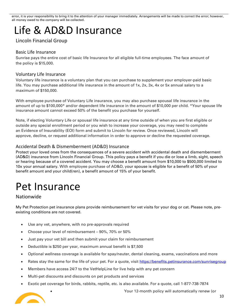error, it is your responsibility to bring it to the attention of your manager immediately. Arrangements will be made to correct the error; however, all money owed to the company will be collected.

## <span id="page-9-0"></span>Life & AD&D Insurance

### Lincoln Financial Group

### <span id="page-9-1"></span>Basic Life Insurance

Sunrise pays the entire cost of basic life Insurance for all eligible full-time employees. The face amount of the policy is \$15,000.

### <span id="page-9-2"></span>Voluntary Life Insurance

Voluntary life insurance is a voluntary plan that you can purchase to supplement your employer-paid basic life. You may purchase additional life insurance in the amount of 1x, 2x, 3x, 4x or 5x annual salary to a maximum of \$150,000.

With employee purchase of Voluntary Life insurance, you may also purchase spousal life insurance in the amount of up to \$100,000\* and/or dependent life insurance in the amount of \$10,000 per child. \*Your spouse life insurance amount cannot exceed 50% of the benefit you purchase for yourself.

Note, if electing Voluntary Life or spousal life insurance at any time outside of when you are first eligible or outside any special enrollment period or you wish to increase your coverage, you may need to complete an Evidence of Insurability (EOI) form and submit to Lincoln for review. Once reviewed, Lincoln will approve, decline, or request additional information in order to approve or decline the requested coverage.

### <span id="page-9-3"></span>Accidental Death & Dismemberment (AD&D) Insurance

Protect your loved ones from the consequences of a severe accident with accidental death and dismemberment (AD&D) insurance from Lincoln Financial Group. This policy pays a benefit if you die or lose a limb, sight, speech or hearing because of a covered accident. You may choose a benefit amount from \$10,000 to \$500,000 limited to 10x your annual salary. With employee purchase of AD&D, your spouse is eligible for a benefit of 50% of your benefit amount and your child(ren), a benefit amount of 15% of your benefit.

## <span id="page-9-4"></span>Pet Insurance

Nationwide

My Pet Protection pet insurance plans provide reimbursement for vet visits for your dog or cat. Please note, preexisting conditions are not covered.

- Use any vet, anywhere, with no pre-approvals required
- Choose your level of reimbursement 90%, 70% or 50%
- Just pay your vet bill and then submit your claim for reimbursement
- Deductible is \$250 per year, maximum annual benefit is \$7,500
- Optional wellness coverage is available for spay/neuter, dental cleaning, exams, vaccinations and more
- Rates stay the same for the life of your pet. For a quote, visit<https://benefits.petinsurance.com/sunrisegroup>
- Members have access 24/7 to the VetHelpLine for live help with any pet concern
- Multi-pet discounts and discounts on pet products and services
- Exotic pet coverage for birds, rabbits, reptile, etc. is also available. For a quote, call 1-877-738-7874



• Your 12-month policy will automatically renew (or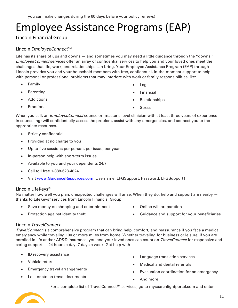## <span id="page-10-0"></span>Employee Assistance Programs (EAP)

<span id="page-10-1"></span>Lincoln Financial Group

### Lincoln *EmployeeConnect*<sup>SM</sup>

Life has its share of ups and downs — and sometimes you may need a little guidance through the "downs." EmployeeConnect services offer an array of confidential services to help you and your loved ones meet the challenges that life, work, and relationships can bring. Your Employee Assistance Program (EAP) through Lincoln provides you and your household members with free, confidential, in-the-moment support to help with personal or professional problems that may interfere with work or family responsibilities like:

- **Family**
- **Parenting**
- **Addictions**
- **Emotional**
- **Legal**
- **Financial**
- Relationships
- **Stress**

When you call, an *EmployeeConnect* counselor (master's level clinician with at least three years of experience in counseling) will confidentially assess the problem, assist with any emergencies, and connect you to the appropriate resources.

- Strictly confidential
- Provided at no charge to you
- Up to five sessions per person, per issue, per year
- In-person help with short-term issues
- Available to you and your dependents 24/7
- Call toll free 1-888-628-4824
- Visit [www.GuidanceResources.com](http://www.guidanceresources.com/) Username: LFGSupport, Password: LFGSupport1

### <span id="page-10-2"></span>Lincoln LifeKeys®

No matter how well you plan, unexpected challenges will arise. When they do, help and support are nearby  $$ thanks to LifeKeys® services from Lincoln Financial Group.

- Save money on shopping and entertainment
- Protection against identity theft
- Online will preparation
- Guidance and support for your beneficiaries

### <span id="page-10-3"></span>Lincoln *TravelConnect*

TravelConnect is a comprehensive program that can bring help, comfort, and reassurance if you face a medical emergency while traveling 100 or more miles from home. Whether traveling for business or leisure, if you are enrolled in life and/or AD&D insurance, you and your loved ones can count on *TravelConnect* for responsive and caring support — 24 hours a day, 7 days a week. Get help with

- ID recovery assistance
- Vehicle return
- Emergency travel arrangements
- Lost or stolen travel documents
- Language translation services
- Medical and dental referrals
- Evacuation coordination for an emergency
- And more

For a complete list of TravelConnect<sup>SM</sup> services, go to mysearchlightportal.com and enter

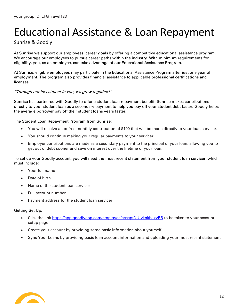## <span id="page-11-0"></span>Educational Assistance & Loan Repayment

### Sunrise & Goodly

At Sunrise we support our employees' career goals by offering a competitive educational assistance program. We encourage our employees to pursue career paths within the industry. With minimum requirements for eligibility, you, as an employee, can take advantage of our Educational Assistance Program.

At Sunrise, eligible employees may participate in the Educational Assistance Program after just one year of employment. The program also provides financial assistance to applicable professional certifications and licenses.

#### "Through our investment in you, we grow together!"

Sunrise has partnered with Goodly to offer a student loan repayment benefit. Sunrise makes contributions directly to your student loan as a secondary payment to help you pay off your student debt faster. Goodly helps the average borrower pay off their student loans years faster.

#### The Student Loan Repayment Program from Sunrise:

- You will receive a tax-free monthly contribution of \$100 that will be made directly to your loan servicer.
- You should continue making your regular payments to your servicer.
- Employer contributions are made as a secondary payment to the principal of your loan, allowing you to get out of debt sooner and save on interest over the lifetime of your loan.

To set up your Goodly account, you will need the most recent statement from your student loan servicer, which must include:

- Your full name
- Date of birth
- Name of the student loan servicer
- Full account number
- Payment address for the student loan servicer

#### Getting Set Up:

- Click the link<https://app.goodlyapp.com/employee/accept/UUvknkhJxvBB> to be taken to your account setup page
- Create your account by providing some basic information about yourself
- Sync Your Loans by providing basic loan account information and uploading your most recent statement